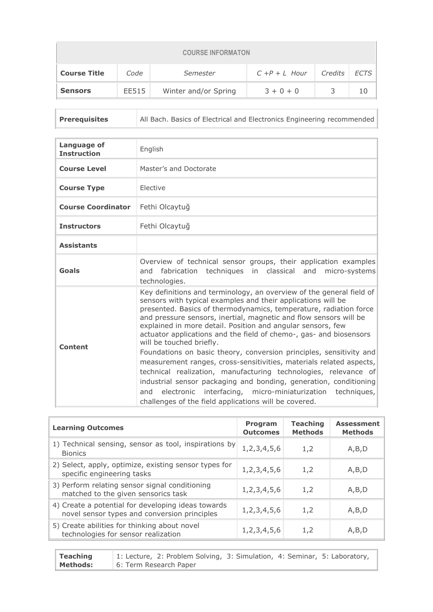| <b>COURSE INFORMATON</b> |       |                      |                  |         |             |  |
|--------------------------|-------|----------------------|------------------|---------|-------------|--|
| <b>Course Title</b>      | Code  | Semester             | $C + P + L$ Hour | Credits | <b>ECTS</b> |  |
| <b>Sensors</b>           | EE515 | Winter and/or Spring | $3 + 0 + 0$      |         | 10          |  |

**Prerequisites** All Bach. Basics of Electrical and Electronics Engineering recommended

| Language of<br><b>Instruction</b> | English                                                                                                                                                                                                                                                                                                                                                                                                                                                                                                                                                                                                                                                                                                                                                                                                                                                                  |
|-----------------------------------|--------------------------------------------------------------------------------------------------------------------------------------------------------------------------------------------------------------------------------------------------------------------------------------------------------------------------------------------------------------------------------------------------------------------------------------------------------------------------------------------------------------------------------------------------------------------------------------------------------------------------------------------------------------------------------------------------------------------------------------------------------------------------------------------------------------------------------------------------------------------------|
| <b>Course Level</b>               | Master's and Doctorate                                                                                                                                                                                                                                                                                                                                                                                                                                                                                                                                                                                                                                                                                                                                                                                                                                                   |
| <b>Course Type</b>                | Flective                                                                                                                                                                                                                                                                                                                                                                                                                                                                                                                                                                                                                                                                                                                                                                                                                                                                 |
| <b>Course Coordinator</b>         | Fethi Olcaytuğ                                                                                                                                                                                                                                                                                                                                                                                                                                                                                                                                                                                                                                                                                                                                                                                                                                                           |
| <b>Instructors</b>                | Fethi Olcaytuğ                                                                                                                                                                                                                                                                                                                                                                                                                                                                                                                                                                                                                                                                                                                                                                                                                                                           |
| <b>Assistants</b>                 |                                                                                                                                                                                                                                                                                                                                                                                                                                                                                                                                                                                                                                                                                                                                                                                                                                                                          |
| Goals                             | Overview of technical sensor groups, their application examples<br>and fabrication techniques in classical and micro-systems<br>technologies.                                                                                                                                                                                                                                                                                                                                                                                                                                                                                                                                                                                                                                                                                                                            |
| Content                           | Key definitions and terminology, an overview of the general field of<br>sensors with typical examples and their applications will be<br>presented. Basics of thermodynamics, temperature, radiation force<br>and pressure sensors, inertial, magnetic and flow sensors will be<br>explained in more detail. Position and angular sensors, few<br>actuator applications and the field of chemo-, gas- and biosensors<br>will be touched briefly.<br>Foundations on basic theory, conversion principles, sensitivity and<br>measurement ranges, cross-sensitivities, materials related aspects,<br>technical realization, manufacturing technologies, relevance of<br>industrial sensor packaging and bonding, generation, conditioning<br>interfacing, micro-miniaturization<br>techniques,<br>electronic<br>and<br>challenges of the field applications will be covered. |

| <b>Learning Outcomes</b>                                                                           | <b>Program</b><br><b>Outcomes</b> | <b>Teaching</b><br><b>Methods</b> | <b>Assessment</b><br><b>Methods</b> |
|----------------------------------------------------------------------------------------------------|-----------------------------------|-----------------------------------|-------------------------------------|
| 1) Technical sensing, sensor as tool, inspirations by<br><b>Bionics</b>                            | 1,2,3,4,5,6                       | 1,2                               | A, B, D                             |
| 2) Select, apply, optimize, existing sensor types for<br>specific engineering tasks                | 1, 2, 3, 4, 5, 6                  | 1,2                               | A, B, D                             |
| 3) Perform relating sensor signal conditioning<br>matched to the given sensorics task              | 1, 2, 3, 4, 5, 6                  | 1,2                               | A, B, D                             |
| 4) Create a potential for developing ideas towards<br>novel sensor types and conversion principles | 1, 2, 3, 4, 5, 6                  | 1,2                               | A, B, D                             |
| 5) Create abilities for thinking about novel<br>technologies for sensor realization                | 1, 2, 3, 4, 5, 6                  | 1,2                               | A, B, D                             |

| <b>Teaching</b> | 1: Lecture, 2: Problem Solving, 3: Simulation, 4: Seminar, 5: Laboratory, |
|-----------------|---------------------------------------------------------------------------|
| Methods:        | 6: Term Research Paper                                                    |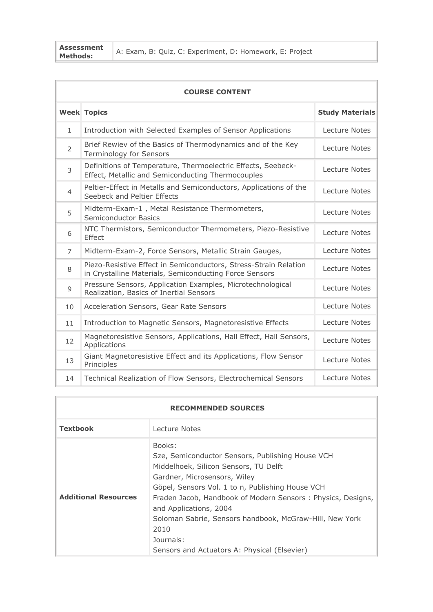**Assessment** 

|                | <b>COURSE CONTENT</b>                                                                                                      |                        |  |  |  |  |  |
|----------------|----------------------------------------------------------------------------------------------------------------------------|------------------------|--|--|--|--|--|
|                | <b>Week Topics</b>                                                                                                         | <b>Study Materials</b> |  |  |  |  |  |
| $\mathbf{1}$   | Introduction with Selected Examples of Sensor Applications                                                                 | Lecture Notes          |  |  |  |  |  |
| $\overline{2}$ | Brief Rewiev of the Basics of Thermodynamics and of the Key<br>Terminology for Sensors                                     | Lecture Notes          |  |  |  |  |  |
| 3              | Definitions of Temperature, Thermoelectric Effects, Seebeck-<br>Effect, Metallic and Semiconducting Thermocouples          | Lecture Notes          |  |  |  |  |  |
| $\overline{4}$ | Peltier-Effect in Metalls and Semiconductors, Applications of the<br>Seebeck and Peltier Effects                           | Lecture Notes          |  |  |  |  |  |
| 5              | Midterm-Exam-1, Metal Resistance Thermometers,<br><b>Semiconductor Basics</b>                                              | Lecture Notes          |  |  |  |  |  |
| 6              | NTC Thermistors, Semiconductor Thermometers, Piezo-Resistive<br>Effect                                                     | Lecture Notes          |  |  |  |  |  |
| $\overline{7}$ | Midterm-Exam-2, Force Sensors, Metallic Strain Gauges,                                                                     | Lecture Notes          |  |  |  |  |  |
| 8              | Piezo-Resistive Effect in Semiconductors, Stress-Strain Relation<br>in Crystalline Materials, Semiconducting Force Sensors | Lecture Notes          |  |  |  |  |  |
| 9              | Pressure Sensors, Application Examples, Microtechnological<br>Realization, Basics of Inertial Sensors                      | Lecture Notes          |  |  |  |  |  |
| 10             | Acceleration Sensors, Gear Rate Sensors                                                                                    | Lecture Notes          |  |  |  |  |  |
| 11             | Introduction to Magnetic Sensors, Magnetoresistive Effects                                                                 | Lecture Notes          |  |  |  |  |  |
| 12             | Magnetoresistive Sensors, Applications, Hall Effect, Hall Sensors,<br>Applications                                         | Lecture Notes          |  |  |  |  |  |
| 13             | Giant Magnetoresistive Effect and its Applications, Flow Sensor<br>Principles                                              | Lecture Notes          |  |  |  |  |  |
| 14             | Technical Realization of Flow Sensors, Electrochemical Sensors                                                             | Lecture Notes          |  |  |  |  |  |

| <b>RECOMMENDED SOURCES</b>  |                                                                                                                                                                                                                                                                                                                                                                                                                  |  |  |  |
|-----------------------------|------------------------------------------------------------------------------------------------------------------------------------------------------------------------------------------------------------------------------------------------------------------------------------------------------------------------------------------------------------------------------------------------------------------|--|--|--|
| <b>Textbook</b>             | Lecture Notes                                                                                                                                                                                                                                                                                                                                                                                                    |  |  |  |
| <b>Additional Resources</b> | Books:<br>Sze, Semiconductor Sensors, Publishing House VCH<br>Middelhoek, Silicon Sensors, TU Delft<br>Gardner, Microsensors, Wiley<br>Göpel, Sensors Vol. 1 to n, Publishing House VCH<br>Fraden Jacob, Handbook of Modern Sensors: Physics, Designs,<br>and Applications, 2004<br>Soloman Sabrie, Sensors handbook, McGraw-Hill, New York<br>2010<br>Journals:<br>Sensors and Actuators A: Physical (Elsevier) |  |  |  |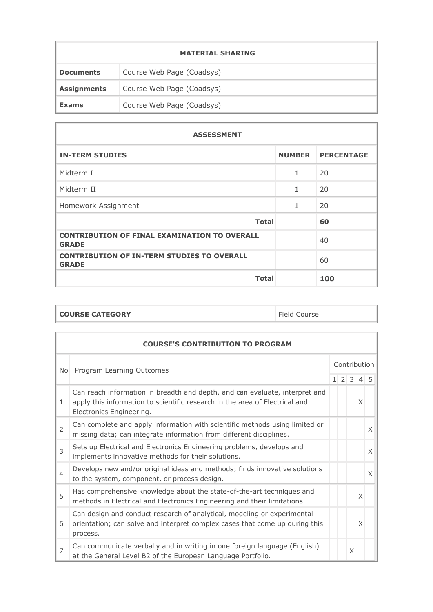|                    | <b>MATERIAL SHARING</b>   |
|--------------------|---------------------------|
| <b>Documents</b>   | Course Web Page (Coadsys) |
| <b>Assignments</b> | Course Web Page (Coadsys) |
| <b>Exams</b>       | Course Web Page (Coadsys) |

 $\overline{\phantom{a}}$ 

| <b>ASSESSMENT</b>                                                   |               |                   |  |  |  |  |
|---------------------------------------------------------------------|---------------|-------------------|--|--|--|--|
| <b>IN-TERM STUDIES</b>                                              | <b>NUMBER</b> | <b>PERCENTAGE</b> |  |  |  |  |
| Midterm I                                                           | 1             | 20                |  |  |  |  |
| Midterm II                                                          | 1             | 20                |  |  |  |  |
| Homework Assignment                                                 | 1             | 20                |  |  |  |  |
| <b>Total</b>                                                        |               | 60                |  |  |  |  |
| <b>CONTRIBUTION OF FINAL EXAMINATION TO OVERALL</b><br><b>GRADE</b> |               | 40                |  |  |  |  |
| <b>CONTRIBUTION OF IN-TERM STUDIES TO OVERALL</b><br><b>GRADE</b>   |               | 60                |  |  |  |  |
| <b>Total</b>                                                        |               | 100               |  |  |  |  |

| <b>COURSE CATEGORY</b> | Field Course |
|------------------------|--------------|
|                        |              |

|                                  | <b>COURSE'S CONTRIBUTION TO PROGRAM</b>                                                                                                                                                |              |  |   |                     |          |  |  |
|----------------------------------|----------------------------------------------------------------------------------------------------------------------------------------------------------------------------------------|--------------|--|---|---------------------|----------|--|--|
| Program Learning Outcomes<br>No. |                                                                                                                                                                                        | Contribution |  |   |                     |          |  |  |
|                                  |                                                                                                                                                                                        |              |  |   | $1 \t2 \t3 \t4 \t5$ |          |  |  |
| 1                                | Can reach information in breadth and depth, and can evaluate, interpret and<br>apply this information to scientific research in the area of Electrical and<br>Electronics Engineering. |              |  |   | X                   |          |  |  |
| $\mathcal{P}$                    | Can complete and apply information with scientific methods using limited or<br>missing data; can integrate information from different disciplines.                                     |              |  |   |                     | X        |  |  |
| 3                                | Sets up Electrical and Electronics Engineering problems, develops and<br>implements innovative methods for their solutions.                                                            |              |  |   |                     | X        |  |  |
| $\overline{4}$                   | Develops new and/or original ideas and methods; finds innovative solutions<br>to the system, component, or process design.                                                             |              |  |   |                     | $\times$ |  |  |
| 5                                | Has comprehensive knowledge about the state-of-the-art techniques and<br>methods in Electrical and Electronics Engineering and their limitations.                                      |              |  |   | X                   |          |  |  |
| 6                                | Can design and conduct research of analytical, modeling or experimental<br>orientation; can solve and interpret complex cases that come up during this<br>process.                     |              |  |   | X                   |          |  |  |
| $\overline{7}$                   | Can communicate verbally and in writing in one foreign language (English)<br>at the General Level B2 of the European Language Portfolio.                                               |              |  | X |                     |          |  |  |